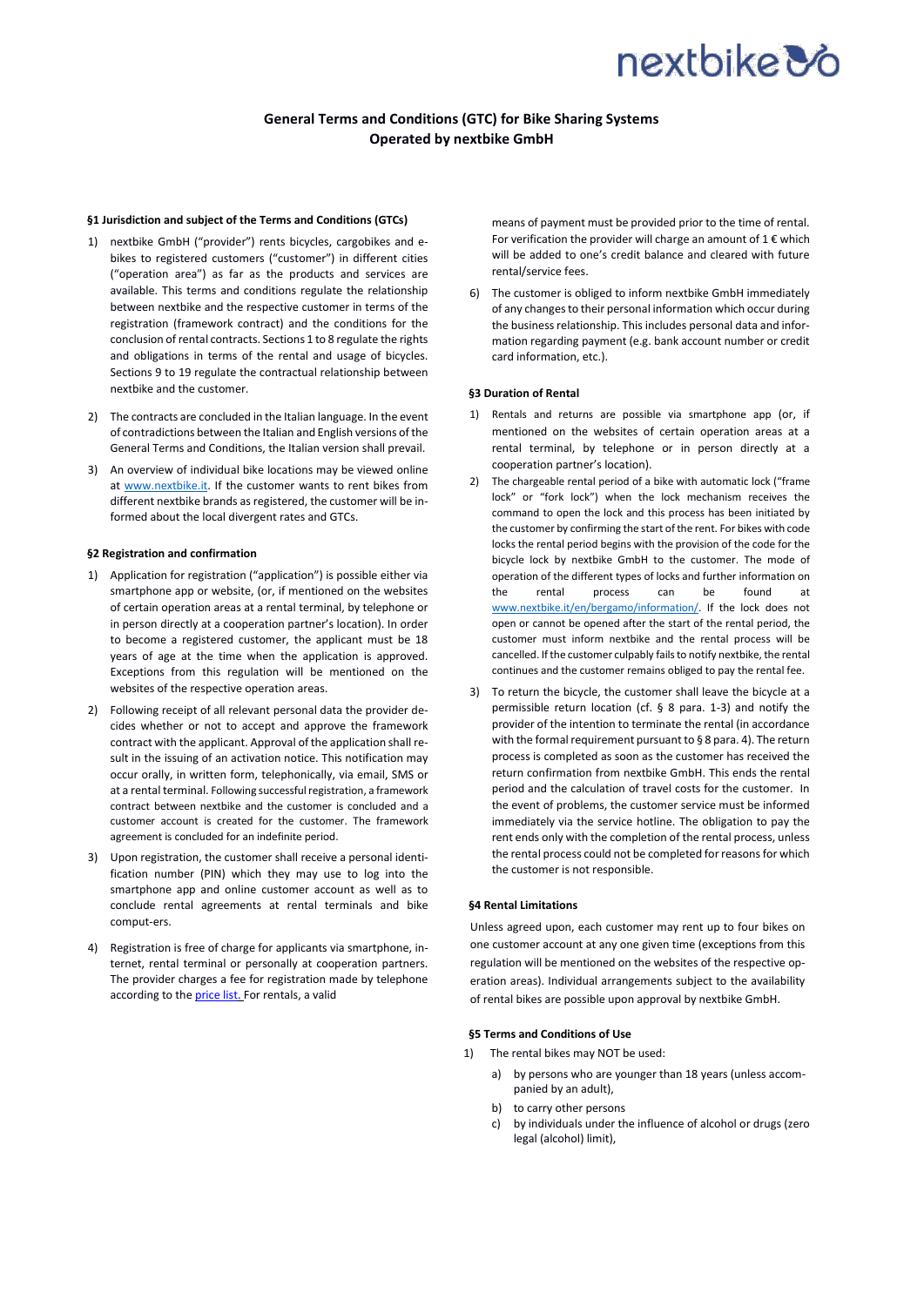## nextbike **3**

## **General Terms and Conditions (GTC) for Bike Sharing Systems Operated by nextbike GmbH**

#### **§1 Jurisdiction and subject of the Terms and Conditions (GTCs)**

- 1) nextbike GmbH ("provider") rents bicycles, cargobikes and ebikes to registered customers ("customer") in different cities ("operation area") as far as the products and services are available. This terms and conditions regulate the relationship between nextbike and the respective customer in terms of the registration (framework contract) and the conditions for the conclusion of rental contracts. Sections 1 to 8 regulate the rights and obligations in terms of the rental and usage of bicycles. Sections 9 to 19 regulate the contractual relationship between nextbike and the customer.
- 2) The contracts are concluded in the Italian language. In the event of contradictions between the Italian and English versions of the General Terms and Conditions, the Italian version shall prevail.
- 3) An overview of individual bike locations may be viewed online at [www.nextbike.it.](www.nextbike.it) If the customer wants to rent bikes from different nextbike brands as registered, the customer will be informed about the local divergent rates and GTCs.

#### **§2 Registration and confirmation**

- 1) Application for registration ("application") is possible either via smartphone app or website, (or, if mentioned on the websites of certain operation areas at a rental terminal, by telephone or in person directly at a cooperation partner's location). In order to become a registered customer, the applicant must be 18 years of age at the time when the application is approved. Exceptions from this regulation will be mentioned on the websites of the respective operation areas.
- 2) Following receipt of all relevant personal data the provider decides whether or not to accept and approve the framework contract with the applicant. Approval of the application shall result in the issuing of an activation notice. This notification may occur orally, in written form, telephonically, via email, SMS or at a rental terminal. Following successful registration, a framework contract between nextbike and the customer is concluded and a customer account is created for the customer. The framework agreement is concluded for an indefinite period.
- 3) Upon registration, the customer shall receive a personal identification number (PIN) which they may use to log into the smartphone app and online customer account as well as to conclude rental agreements at rental terminals and bike comput-ers.
- 4) Registration is free of charge for applicants via smartphone, internet, rental terminal or personally at cooperation partners. The provider charges a fee for registration made by telephone according to the price list. For rentals, a valid

means of payment must be provided prior to the time of rental. For verification the provider will charge an amount of  $1 \in$  which will be added to one's credit balance and cleared with future rental/service fees.

6) The customer is obliged to inform nextbike GmbH immediately of any changes to their personal information which occur during the business relationship. This includes personal data and information regarding payment (e.g. bank account number or credit card information, etc.).

#### **§3 Duration of Rental**

- 1) Rentals and returns are possible via smartphone app (or, if mentioned on the websites of certain operation areas at a rental terminal, by telephone or in person directly at a cooperation partner's location).
- 2) The chargeable rental period of a bike with automatic lock ("frame lock" or "fork lock") when the lock mechanism receives the command to open the lock and this process has been initiated by the customer by confirming the start of the rent. For bikes with code locks the rental period begins with the provision of the code for the bicycle lock by nextbike GmbH to the customer. The mode of operation of the different types of locks and further information on the rental process can be found at [www.nextbike.it/en/bergamo/information/.](http://www.nextbike.it/en/bergamo/information/) If the lock does not open or cannot be opened after the start of the rental period, the customer must inform nextbike and the rental process will be cancelled. If the customer culpably fails to notify nextbike, the rental continues and the customer remains obliged to pay the rental fee.
- 3) To return the bicycle, the customer shall leave the bicycle at a permissible return location (cf. § 8 para. 1-3) and notify the provider of the intention to terminate the rental (in accordance with the formal requirement pursuant to § 8 para. 4). The return process is completed as soon as the customer has received the return confirmation from nextbike GmbH. This ends the rental period and the calculation of travel costs for the customer. In the event of problems, the customer service must be informed immediately via the service hotline. The obligation to pay the rent ends only with the completion of the rental process, unless the rental process could not be completed for reasons for which the customer is not responsible.

#### **§4 Rental Limitations**

Unless agreed upon, each customer may rent up to four bikes on one customer account at any one given time (exceptions from this regulation will be mentioned on the websites of the respective operation areas). Individual arrangements subject to the availability of rental bikes are possible upon approval by nextbike GmbH.

#### **§5 Terms and Conditions of Use**

- 1) The rental bikes may NOT be used:
	- a) by persons who are younger than 18 years (unless accompanied by an adult),
	- b) to carry other persons
	- c) by individuals under the influence of alcohol or drugs (zero legal (alcohol) limit),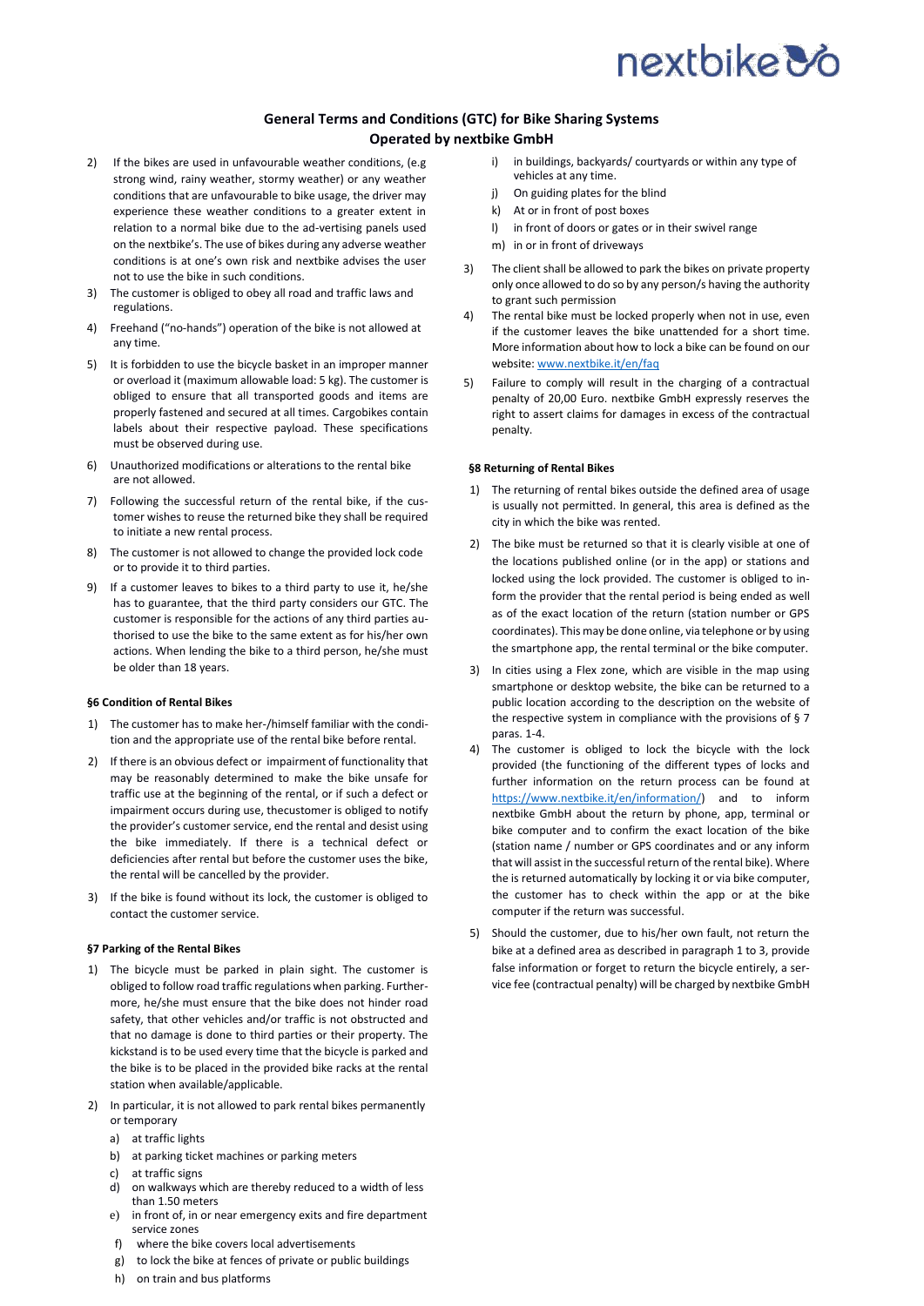# nextbike **3**

## **General Terms and Conditions (GTC) for Bike Sharing Systems Operated by nextbike GmbH**

- 2) If the bikes are used in unfavourable weather conditions, (e.g. strong wind, rainy weather, stormy weather) or any weather conditions that are unfavourable to bike usage, the driver may experience these weather conditions to a greater extent in relation to a normal bike due to the ad-vertising panels used on the nextbike's. The use of bikes during any adverse weather conditions is at one's own risk and nextbike advises the user not to use the bike in such conditions.
- 3) The customer is obliged to obey all road and traffic laws and regulations.
- 4) Freehand ("no-hands") operation of the bike is not allowed at any time.
- 5) It is forbidden to use the bicycle basket in an improper manner or overload it (maximum allowable load: 5 kg). The customer is obliged to ensure that all transported goods and items are properly fastened and secured at all times. Cargobikes contain labels about their respective payload. These specifications must be observed during use.
- 6) Unauthorized modifications or alterations to the rental bike are not allowed.
- 7) Following the successful return of the rental bike, if the customer wishes to reuse the returned bike they shall be required to initiate a new rental process.
- 8) The customer is not allowed to change the provided lock code or to provide it to third parties.
- 9) If a customer leaves to bikes to a third party to use it, he/she has to guarantee, that the third party considers our GTC. The customer is responsible for the actions of any third parties authorised to use the bike to the same extent as for his/her own actions. When lending the bike to a third person, he/she must be older than 18 years.

### **§6 Condition of Rental Bikes**

- 1) The customer has to make her-/himself familiar with the condition and the appropriate use of the rental bike before rental.
- 2) If there is an obvious defect or impairment of functionality that may be reasonably determined to make the bike unsafe for traffic use at the beginning of the rental, or if such a defect or impairment occurs during use, thecustomer is obliged to notify the provider's customer service, end the rental and desist using the bike immediately. If there is a technical defect or deficiencies after rental but before the customer uses the bike, the rental will be cancelled by the provider.
- 3) If the bike is found without its lock, the customer is obliged to contact the customer service.

### **§7 Parking of the Rental Bikes**

- 1) The bicycle must be parked in plain sight. The customer is obliged to follow road traffic regulations when parking. Furthermore, he/she must ensure that the bike does not hinder road safety, that other vehicles and/or traffic is not obstructed and that no damage is done to third parties or their property. The kickstand is to be used every time that the bicycle is parked and the bike is to be placed in the provided bike racks at the rental station when available/applicable.
- 2) In particular, it is not allowed to park rental bikes permanently or temporary
	- a) at traffic lights
	- b) at parking ticket machines or parking meters
	- c) at traffic signs
	- d) on walkways which are thereby reduced to a width of less than 1.50 meters
	- e) in front of, in or near emergency exits and fire department service zones
	- f) where the bike covers local advertisements
	- g) to lock the bike at fences of private or public buildings
	- h) on train and bus platforms
- i) in buildings, backyards/ courtyards or within any type of vehicles at any time.
- j) On guiding plates for the blind
- k) At or in front of post boxes
- l) in front of doors or gates or in their swivel range
- m) in or in front of driveways
- 3) The client shall be allowed to park the bikes on private property only once allowed to do so by any person/s having the authority to grant such permission
- 4) The rental bike must be locked properly when not in use, even if the customer leaves the bike unattended for a short time. More information about how to lock a bike can be found on our website[: www.nextbike.it/en/faq](http://www.nextbike.it/en/faq/)
- 5) Failure to comply will result in the charging of a contractual penalty of 20,00 Euro. nextbike GmbH expressly reserves the right to assert claims for damages in excess of the contractual penalty.

#### **§8 Returning of Rental Bikes**

- 1) The returning of rental bikes outside the defined area of usage is usually not permitted. In general, this area is defined as the city in which the bike was rented.
- 2) The bike must be returned so that it is clearly visible at one of the locations published online (or in the app) or stations and locked using the lock provided. The customer is obliged to inform the provider that the rental period is being ended as well as of the exact location of the return (station number or GPS coordinates). This may be done online, via telephone or by using the smartphone app, the rental terminal or the bike computer.
- 3) In cities using a Flex zone, which are visible in the map using smartphone or desktop website, the bike can be returned to a public location according to the description on the website of the respective system in compliance with the provisions of § 7 paras. 1-4.
- 4) The customer is obliged to lock the bicycle with the lock provided (the functioning of the different types of locks and further information on the return process can be found at [https://www.nextbike.it/en/information/\)](https://www.nextbike.it/en/information/) and to inform nextbike GmbH about the return by phone, app, terminal or bike computer and to confirm the exact location of the bike (station name / number or GPS coordinates and or any inform that will assist in the successful return of the rental bike). Where the is returned automatically by locking it or via bike computer, the customer has to check within the app or at the bike computer if the return was successful.
- 5) Should the customer, due to his/her own fault, not return the bike at a defined area as described in paragraph 1 to 3, provide false information or forget to return the bicycle entirely, a service fee (contractual penalty) will be charged by nextbike GmbH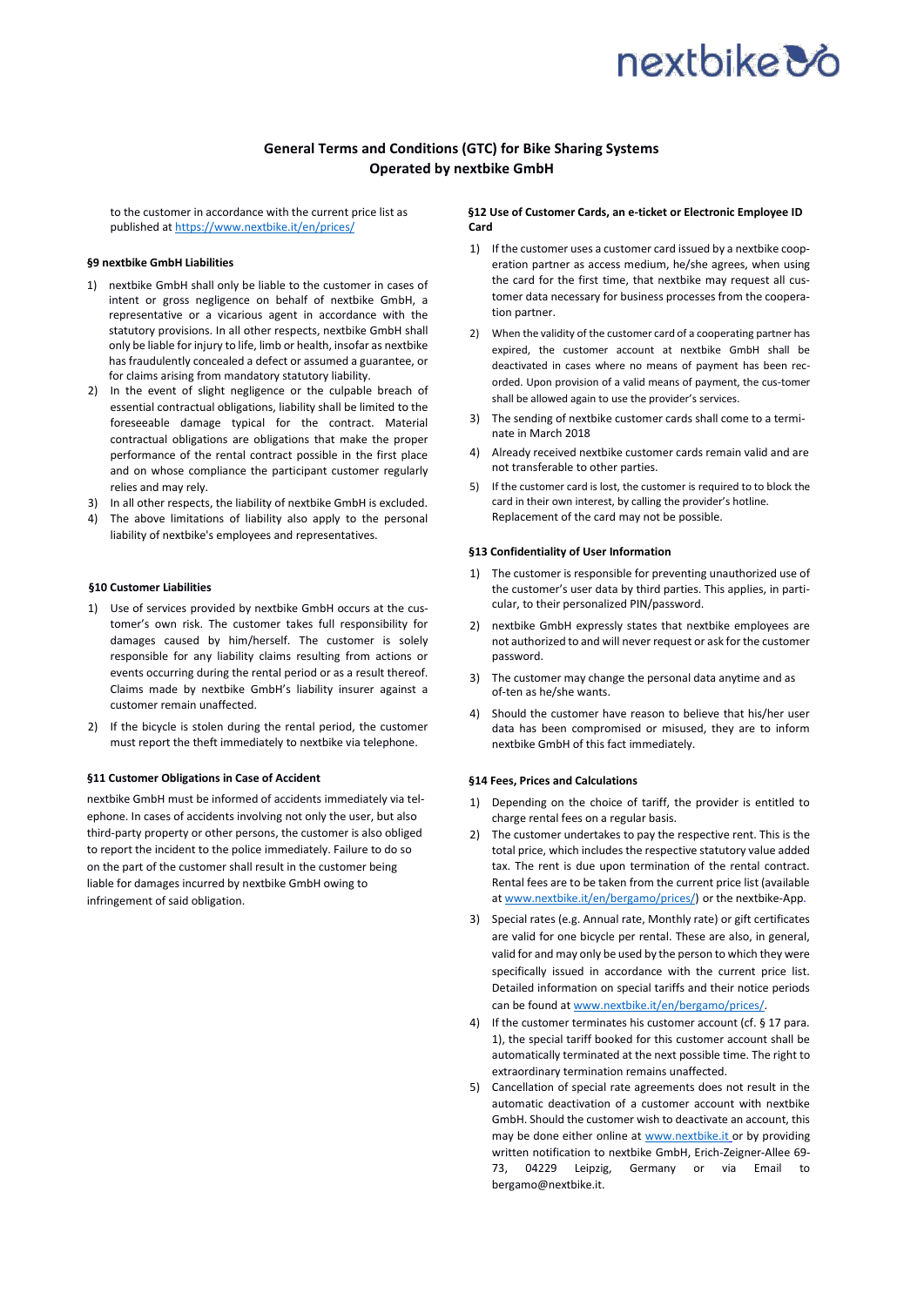# nextbike &

## **General Terms and Conditions (GTC) for Bike Sharing Systems Operated by nextbike GmbH**

to the customer in accordance with the current price list as published a[t https://www.nextbike.it/en/prices/](https://www.nextbike.it/en/prices/)

#### **§9 nextbike GmbH Liabilities**

- 1) nextbike GmbH shall only be liable to the customer in cases of intent or gross negligence on behalf of nextbike GmbH, a representative or a vicarious agent in accordance with the statutory provisions. In all other respects, nextbike GmbH shall only be liable for injury to life, limb or health, insofar as nextbike has fraudulently concealed a defect or assumed a guarantee, or for claims arising from mandatory statutory liability.
- 2) In the event of slight negligence or the culpable breach of essential contractual obligations, liability shall be limited to the foreseeable damage typical for the contract. Material contractual obligations are obligations that make the proper performance of the rental contract possible in the first place and on whose compliance the participant customer regularly relies and may rely.
- 3) In all other respects, the liability of nextbike GmbH is excluded.
- 4) The above limitations of liability also apply to the personal liability of nextbike's employees and representatives.

#### **§10 Customer Liabilities**

- 1) Use of services provided by nextbike GmbH occurs at the customer's own risk. The customer takes full responsibility for damages caused by him/herself. The customer is solely responsible for any liability claims resulting from actions or events occurring during the rental period or as a result thereof. Claims made by nextbike GmbH's liability insurer against a customer remain unaffected.
- 2) If the bicycle is stolen during the rental period, the customer must report the theft immediately to nextbike via telephone.

### **§11 Customer Obligations in Case of Accident**

nextbike GmbH must be informed of accidents immediately via telephone. In cases of accidents involving not only the user, but also third-party property or other persons, the customer is also obliged to report the incident to the police immediately. Failure to do so on the part of the customer shall result in the customer being liable for damages incurred by nextbike GmbH owing to infringement of said obligation.

#### **§12 Use of Customer Cards, an e-ticket or Electronic Employee ID Card**

- 1) If the customer uses a customer card issued by a nextbike cooperation partner as access medium, he/she agrees, when using the card for the first time, that nextbike may request all customer data necessary for business processes from the cooperation partner.
- 2) When the validity of the customer card of a cooperating partner has expired, the customer account at nextbike GmbH shall be deactivated in cases where no means of payment has been recorded. Upon provision of a valid means of payment, the cus-tomer shall be allowed again to use the provider's services.
- 3) The sending of nextbike customer cards shall come to a terminate in March 2018
- 4) Already received nextbike customer cards remain valid and are not transferable to other parties.
- 5) If the customer card is lost, the customer is required to to block the card in their own interest, by calling the provider's hotline. Replacement of the card may not be possible.

#### **§13 Confidentiality of User Information**

- 1) The customer is responsible for preventing unauthorized use of the customer's user data by third parties. This applies, in particular, to their personalized PIN/password.
- 2) nextbike GmbH expressly states that nextbike employees are not authorized to and will never request or ask for the customer password.
- 3) The customer may change the personal data anytime and as of-ten as he/she wants.
- 4) Should the customer have reason to believe that his/her user data has been compromised or misused, they are to inform nextbike GmbH of this fact immediately.

#### **§14 Fees, Prices and Calculations**

- 1) Depending on the choice of tariff, the provider is entitled to charge rental fees on a regular basis.
- 2) The customer undertakes to pay the respective rent. This is the total price, which includes the respective statutory value added tax. The rent is due upon termination of the rental contract. Rental fees are to be taken from the current price list (available a[t www.nextbike.it/en/bergamo/prices/\)](file:///C:/Users/kvienhues/Downloads/www.nextbike.it/en/bergamo/prices/) or the nextbike-App.
- 3) Special rates (e.g. Annual rate, Monthly rate) or gift certificates are valid for one bicycle per rental. These are also, in general, valid for and may only be used by the person to which they were specifically issued in accordance with the current price list. Detailed information on special tariffs and their notice periods can be found a[t www.nextbike.it/en/bergamo/prices/.](file:///C:/Users/kvienhues/Downloads/www.nextbike.it/en/bergamo/prices/)
- 4) If the customer terminates his customer account (cf. § 17 para. 1), the special tariff booked for this customer account shall be automatically terminated at the next possible time. The right to extraordinary termination remains unaffected.
- 5) Cancellation of special rate agreements does not result in the automatic deactivation of a customer account with nextbike GmbH. Should the customer wish to deactivate an account, this may be done either online at [www.nextbike.it](http://www.nextbike.it/) or by providing written notification to nextbike GmbH, Erich-Zeigner-Allee 69- 73, 04229 Leipzig, Germany or via Email to bergamo@nextbike.it.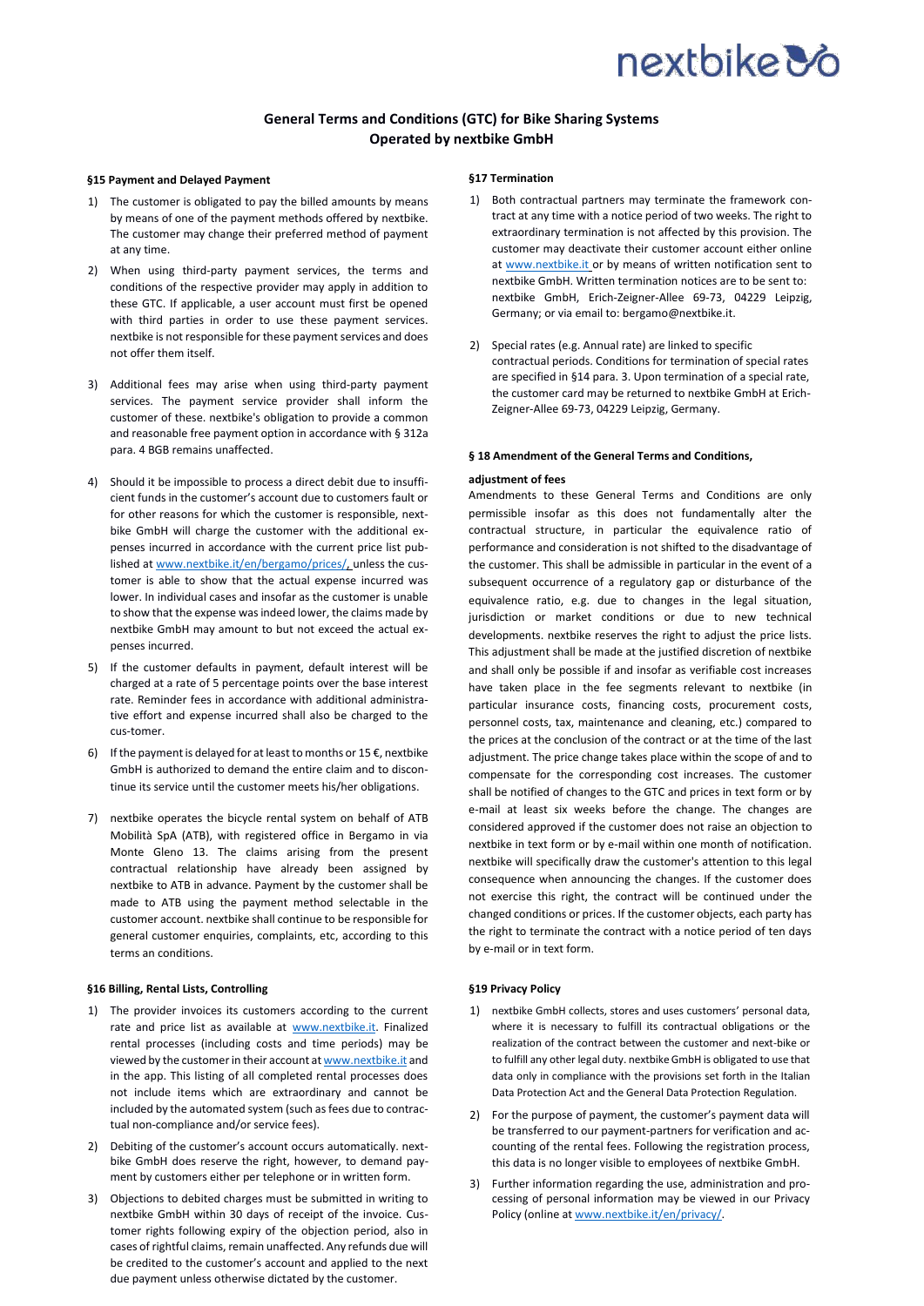# nextbike **3**

## **General Terms and Conditions (GTC) for Bike Sharing Systems Operated by nextbike GmbH**

#### **§15 Payment and Delayed Payment**

- 1) The customer is obligated to pay the billed amounts by means by means of one of the payment methods offered by nextbike. The customer may change their preferred method of payment at any time.
- 2) When using third-party payment services, the terms and conditions of the respective provider may apply in addition to these GTC. If applicable, a user account must first be opened with third parties in order to use these payment services. nextbike is not responsible for these payment services and does not offer them itself.
- 3) Additional fees may arise when using third-party payment services. The payment service provider shall inform the customer of these. nextbike's obligation to provide a common and reasonable free payment option in accordance with § 312a para. 4 BGB remains unaffected.
- 4) Should it be impossible to process a direct debit due to insufficient funds in the customer's account due to customers fault or for other reasons for which the customer is responsible, nextbike GmbH will charge the customer with the additional expenses incurred in accordance with the current price list published a[t www.nextbike.it/en/bergamo/prices/, u](file:///C:/Users/kvienhues/Downloads/www.nextbike.it/en/bergamo/prices/)nless the customer is able to show that the actual expense incurred was lower. In individual cases and insofar as the customer is unable to show that the expense was indeed lower, the claims made by nextbike GmbH may amount to but not exceed the actual expenses incurred.
- 5) If the customer defaults in payment, default interest will be charged at a rate of 5 percentage points over the base interest rate. Reminder fees in accordance with additional administrative effort and expense incurred shall also be charged to the cus-tomer.
- 6) If the payment is delayed for at least to months or  $15 \text{ E}$ , nextbike GmbH is authorized to demand the entire claim and to discontinue its service until the customer meets his/her obligations.
- 7) nextbike operates the bicycle rental system on behalf of ATB Mobilità SpA (ATB), with registered office in Bergamo in via Monte Gleno 13. The claims arising from the present contractual relationship have already been assigned by nextbike to ATB in advance. Payment by the customer shall be made to ATB using the payment method selectable in the customer account. nextbike shall continue to be responsible for general customer enquiries, complaints, etc, according to this terms an conditions.

### **§16 Billing, Rental Lists, Controlling**

- 1) The provider invoices its customers according to the current rate and price list as available at [www.nextbike.it.](http://www.nextbike.it/) Finalized rental processes (including costs and time periods) may be viewed by the customer in their account a[t www.nextbike.it](file:///C:/Users/kvienhues/Downloads/www.nextbike.it) and in the app. This listing of all completed rental processes does not include items which are extraordinary and cannot be included by the automated system (such as fees due to contractual non-compliance and/or service fees).
- 2) Debiting of the customer's account occurs automatically. nextbike GmbH does reserve the right, however, to demand payment by customers either per telephone or in written form.
- 3) Objections to debited charges must be submitted in writing to nextbike GmbH within 30 days of receipt of the invoice. Customer rights following expiry of the objection period, also in cases of rightful claims, remain unaffected. Any refunds due will be credited to the customer's account and applied to the next due payment unless otherwise dictated by the customer.

#### **§17 Termination**

- 1) Both contractual partners may terminate the framework contract at any time with a notice period of two weeks. The right to extraordinary termination is not affected by this provision. The customer may deactivate their customer account either online at [www.nextbike.it](http://www.nextbike.it/) or by means of written notification sent to nextbike GmbH. Written termination notices are to be sent to: nextbike GmbH, Erich-Zeigner-Allee 69-73, 04229 Leipzig, Germany; or via email to: bergamo@nextbike.it.
- 2) Special rates (e.g. Annual rate) are linked to specific contractual periods. Conditions for termination of special rates are specified in §14 para. 3. Upon termination of a special rate, the customer card may be returned to nextbike GmbH at Erich-Zeigner-Allee 69-73, 04229 Leipzig, Germany.

#### **§ 18 Amendment of the General Terms and Conditions,**

#### **adjustment of fees**

Amendments to these General Terms and Conditions are only permissible insofar as this does not fundamentally alter the contractual structure, in particular the equivalence ratio of performance and consideration is not shifted to the disadvantage of the customer. This shall be admissible in particular in the event of a subsequent occurrence of a regulatory gap or disturbance of the equivalence ratio, e.g. due to changes in the legal situation, jurisdiction or market conditions or due to new technical developments. nextbike reserves the right to adjust the price lists. This adjustment shall be made at the justified discretion of nextbike and shall only be possible if and insofar as verifiable cost increases have taken place in the fee segments relevant to nextbike (in particular insurance costs, financing costs, procurement costs, personnel costs, tax, maintenance and cleaning, etc.) compared to the prices at the conclusion of the contract or at the time of the last adjustment. The price change takes place within the scope of and to compensate for the corresponding cost increases. The customer shall be notified of changes to the GTC and prices in text form or by e-mail at least six weeks before the change. The changes are considered approved if the customer does not raise an objection to nextbike in text form or by e-mail within one month of notification. nextbike will specifically draw the customer's attention to this legal consequence when announcing the changes. If the customer does not exercise this right, the contract will be continued under the changed conditions or prices. If the customer objects, each party has the right to terminate the contract with a notice period of ten days by e-mail or in text form.

#### **§19 Privacy Policy**

- 1) nextbike GmbH collects, stores and uses customers' personal data, where it is necessary to fulfill its contractual obligations or the realization of the contract between the customer and next-bike or to fulfill any other legal duty. nextbike GmbH is obligated to use that data only in compliance with the provisions set forth in the Italian Data Protection Act and the General Data Protection Regulation.
- 2) For the purpose of payment, the customer's payment data will be transferred to our payment-partners for verification and accounting of the rental fees. Following the registration process, this data is no longer visible to employees of nextbike GmbH.
- 3) Further information regarding the use, administration and processing of personal information may be viewed in our Privacy Policy (online a[t www.nextbike.it/en/privacy/.](http://www.nextbike.it/en/privacy/)